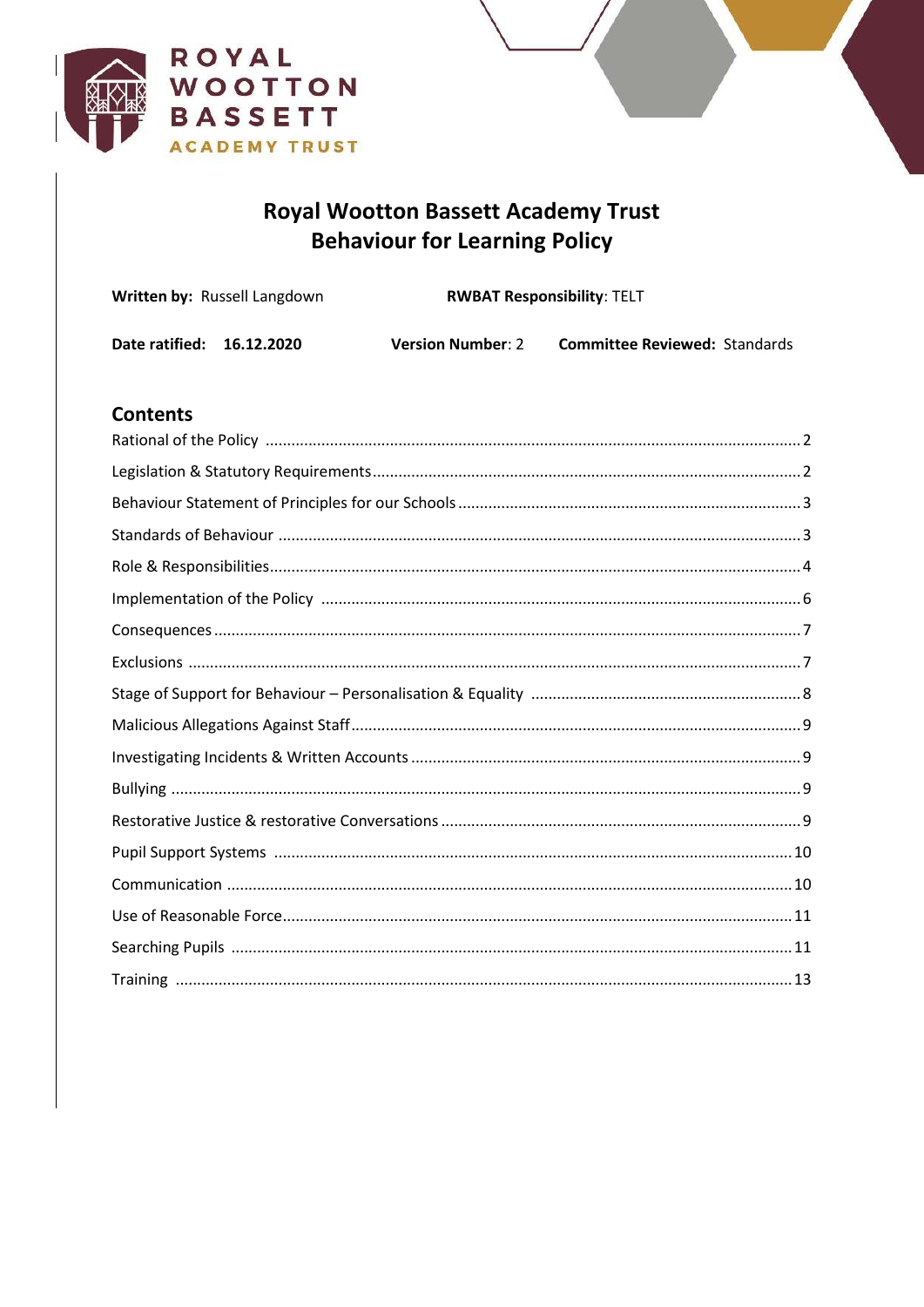

# **Royal Wootton Bassett Academy Trust Behaviour for Learning Policy**

| <b>Written by: Russell Langdown</b> |  | <b>RWBAT Responsibility: TELT</b> |                                      |  |
|-------------------------------------|--|-----------------------------------|--------------------------------------|--|
| Date ratified: 16.12.2020           |  | <b>Version Number: 2</b>          | <b>Committee Reviewed: Standards</b> |  |

# **Contents**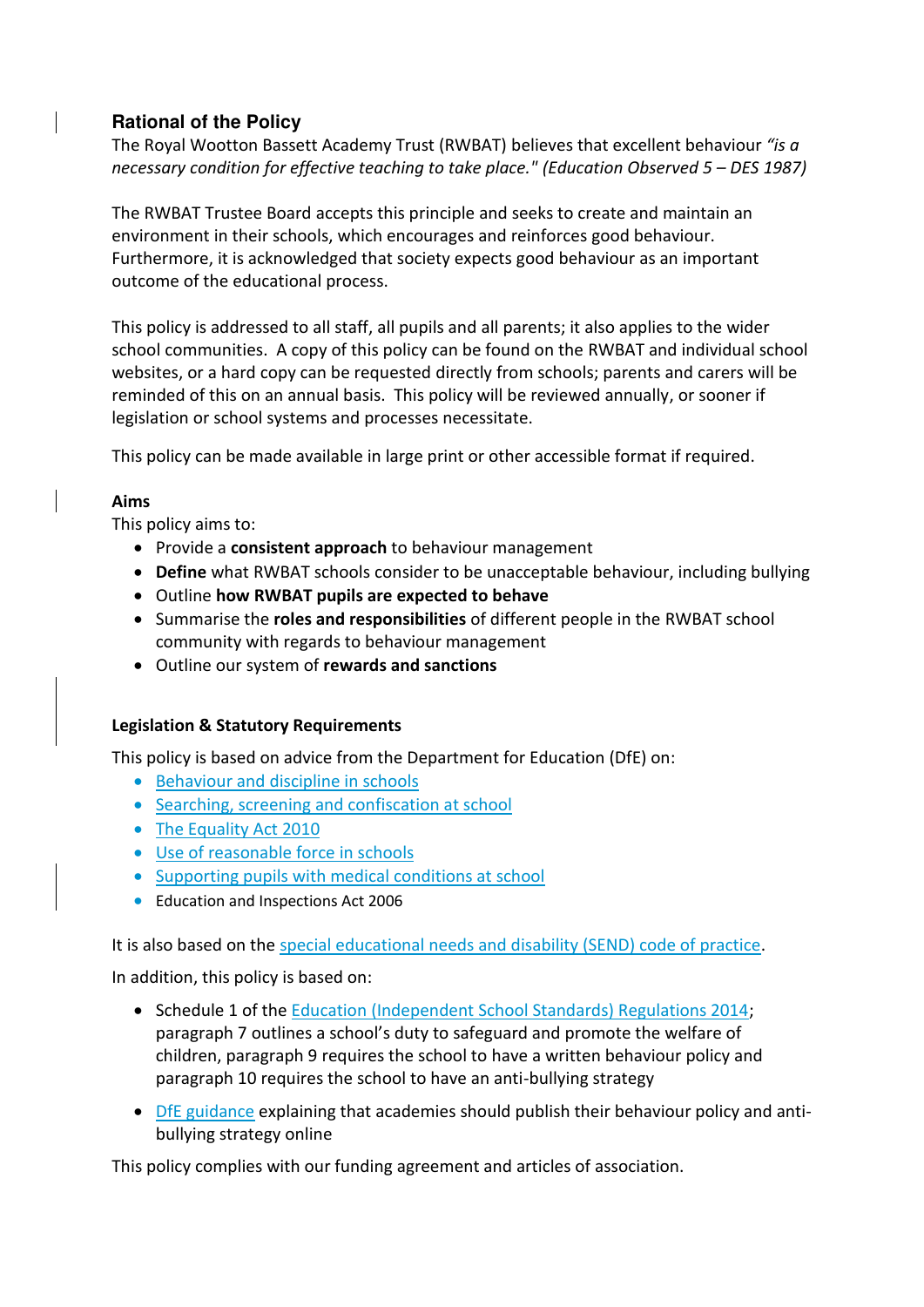# <span id="page-1-1"></span><span id="page-1-0"></span>**Rational of the Policy**

The Royal Wootton Bassett Academy Trust (RWBAT) believes that excellent behaviour *"is a necessary condition for effective teaching to take place." (Education Observed 5 – DES 1987)* 

The RWBAT Trustee Board accepts this principle and seeks to create and maintain an environment in their schools, which encourages and reinforces good behaviour. Furthermore, it is acknowledged that society expects good behaviour as an important outcome of the educational process.

This policy is addressed to all staff, all pupils and all parents; it also applies to the wider school communities. A copy of this policy can be found on the RWBAT and individual school websites, or a hard copy can be requested directly from schools; parents and carers will be reminded of this on an annual basis. This policy will be reviewed annually, or sooner if legislation or school systems and processes necessitate.

This policy can be made available in large print or other accessible format if required.

## **Aims**

This policy aims to:

- **•** Provide a **consistent approach** to behaviour management
- **Define** what RWBAT schools consider to be unacceptable behaviour, including bullying
- Outline **how RWBAT pupils are expected to behave**
- Summarise the **roles and responsibilities** of different people in the RWBAT school community with regards to behaviour management
- Outline our system of **rewards and sanctions**

## **Legislation & Statutory Requirements**

This policy is based on advice from the Department for Education (DfE) on:

- Behaviour and discipline in schools
- Searching, screening and confiscation at school
- The Equality Act 2010
- [Use of reasonable force in schools](https://www.gov.uk/government/publications/use-of-reasonable-force-in-schools)
- Supporting pupils with medical conditions at school
- Education and Inspections Act 2006

It is also based on the [special educational needs and disability \(SEND\) code of practice.](https://www.gov.uk/government/publications/send-code-of-practice-0-to-25)

In addition, this policy is based on:

- Schedule 1 of the [Education \(Independent School Standards\) Regulations 2014;](http://www.legislation.gov.uk/uksi/2014/3283/schedule/made) paragraph 7 outlines a school's duty to safeguard and promote the welfare of children, paragraph 9 requires the school to have a written behaviour policy and paragraph 10 requires the school to have an anti-bullying strategy
- [DfE guidance](https://www.gov.uk/guidance/what-academies-free-schools-and-colleges-should-publish-online) explaining that academies should publish their behaviour policy and antibullying strategy online

This policy complies with our funding agreement and articles of association.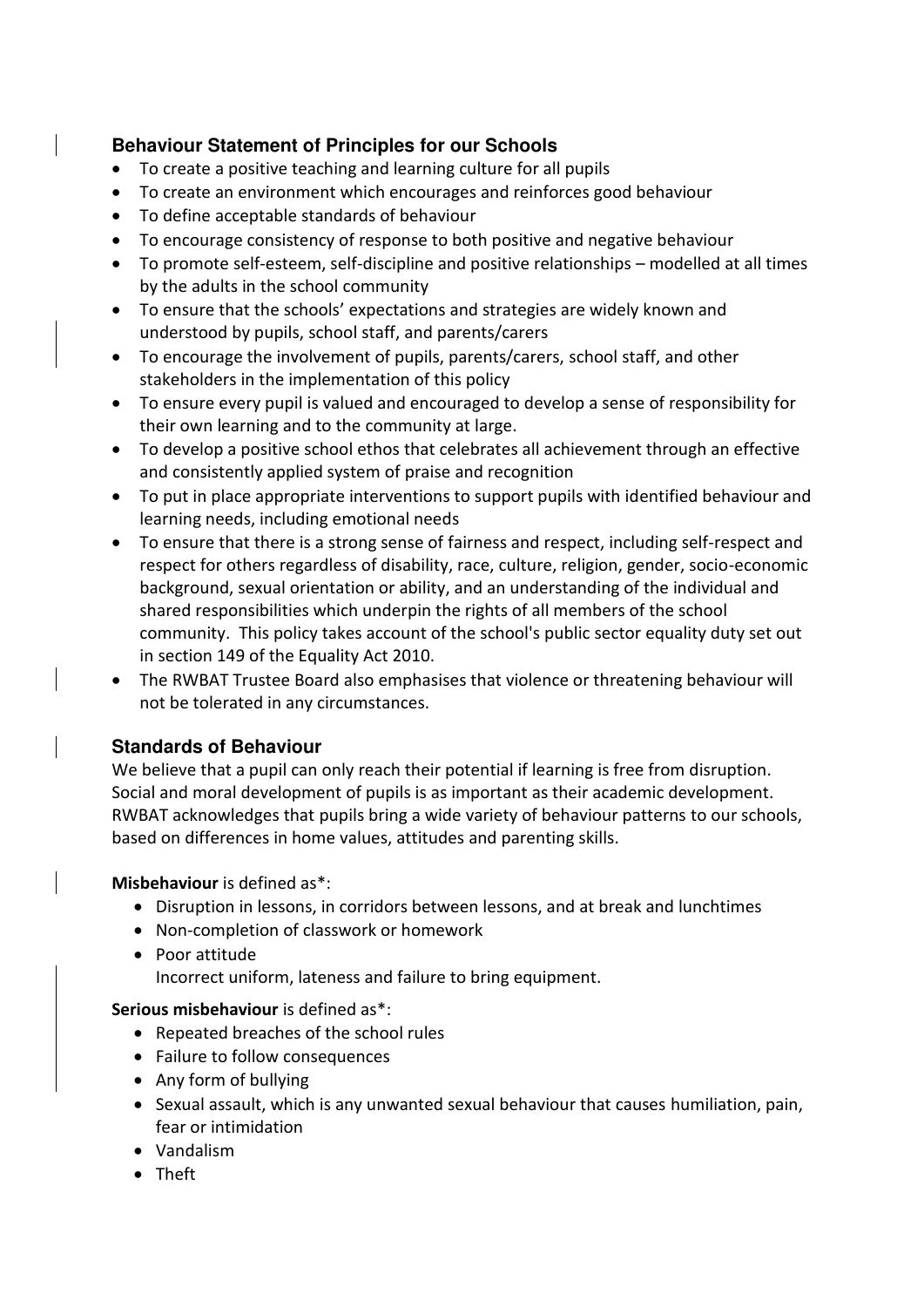# <span id="page-2-0"></span>**Behaviour Statement of Principles for our Schools**

- To create a positive teaching and learning culture for all pupils
- To create an environment which encourages and reinforces good behaviour
- To define acceptable standards of behaviour
- To encourage consistency of response to both positive and negative behaviour
- To promote self-esteem, self-discipline and positive relationships modelled at all times by the adults in the school community
- To ensure that the schools' expectations and strategies are widely known and understood by pupils, school staff, and parents/carers
- To encourage the involvement of pupils, parents/carers, school staff, and other stakeholders in the implementation of this policy
- To ensure every pupil is valued and encouraged to develop a sense of responsibility for their own learning and to the community at large.
- To develop a positive school ethos that celebrates all achievement through an effective and consistently applied system of praise and recognition
- To put in place appropriate interventions to support pupils with identified behaviour and learning needs, including emotional needs
- To ensure that there is a strong sense of fairness and respect, including self-respect and respect for others regardless of disability, race, culture, religion, gender, socio-economic background, sexual orientation or ability, and an understanding of the individual and shared responsibilities which underpin the rights of all members of the school community. This policy takes account of the school's public sector equality duty set out in section 149 of the Equality Act 2010.
- The RWBAT Trustee Board also emphasises that violence or threatening behaviour will not be tolerated in any circumstances.

# <span id="page-2-1"></span>**Standards of Behaviour**

We believe that a pupil can only reach their potential if learning is free from disruption. Social and moral development of pupils is as important as their academic development. RWBAT acknowledges that pupils bring a wide variety of behaviour patterns to our schools, based on differences in home values, attitudes and parenting skills.

**Misbehaviour** is defined as\*:

- Disruption in lessons, in corridors between lessons, and at break and lunchtimes
- Non-completion of classwork or homework
- Poor attitude Incorrect uniform, lateness and failure to bring equipment.

**Serious misbehaviour** is defined as\*:

- Repeated breaches of the school rules
- Failure to follow consequences
- Any form of bullying
- Sexual assault, which is any unwanted sexual behaviour that causes humiliation, pain, fear or intimidation
- Vandalism
- Theft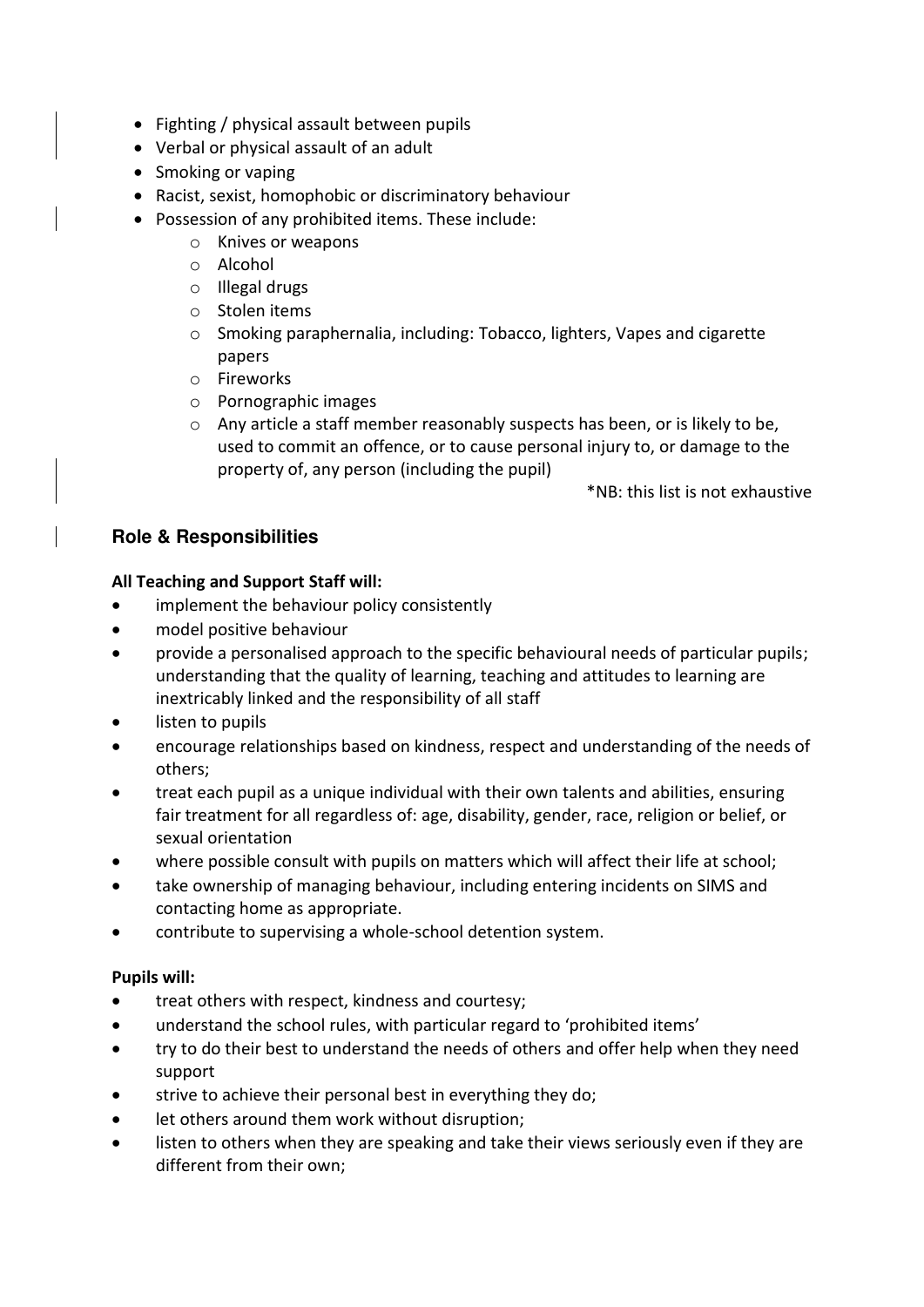- Fighting / physical assault between pupils
- Verbal or physical assault of an adult
- Smoking or vaping
- Racist, sexist, homophobic or discriminatory behaviour
- Possession of any prohibited items. These include:
	- o Knives or weapons
	- o Alcohol
	- o Illegal drugs
	- o Stolen items
	- o Smoking paraphernalia, including: Tobacco, lighters, Vapes and cigarette papers
	- o Fireworks
	- o Pornographic images
	- o Any article a staff member reasonably suspects has been, or is likely to be, used to commit an offence, or to cause personal injury to, or damage to the property of, any person (including the pupil)

\*NB: this list is not exhaustive

# <span id="page-3-0"></span>**Role & Responsibilities**

## **All Teaching and Support Staff will:**

- implement the behaviour policy consistently
- model positive behaviour
- provide a personalised approach to the specific behavioural needs of particular pupils; understanding that the quality of learning, teaching and attitudes to learning are inextricably linked and the responsibility of all staff
- listen to pupils
- encourage relationships based on kindness, respect and understanding of the needs of others;
- treat each pupil as a unique individual with their own talents and abilities, ensuring fair treatment for all regardless of: age, disability, gender, race, religion or belief, or sexual orientation
- where possible consult with pupils on matters which will affect their life at school;
- take ownership of managing behaviour, including entering incidents on SIMS and contacting home as appropriate.
- contribute to supervising a whole-school detention system.

## **Pupils will:**

- treat others with respect, kindness and courtesy;
- understand the school rules, with particular regard to 'prohibited items'
- try to do their best to understand the needs of others and offer help when they need support
- strive to achieve their personal best in everything they do;
- let others around them work without disruption;
- listen to others when they are speaking and take their views seriously even if they are different from their own;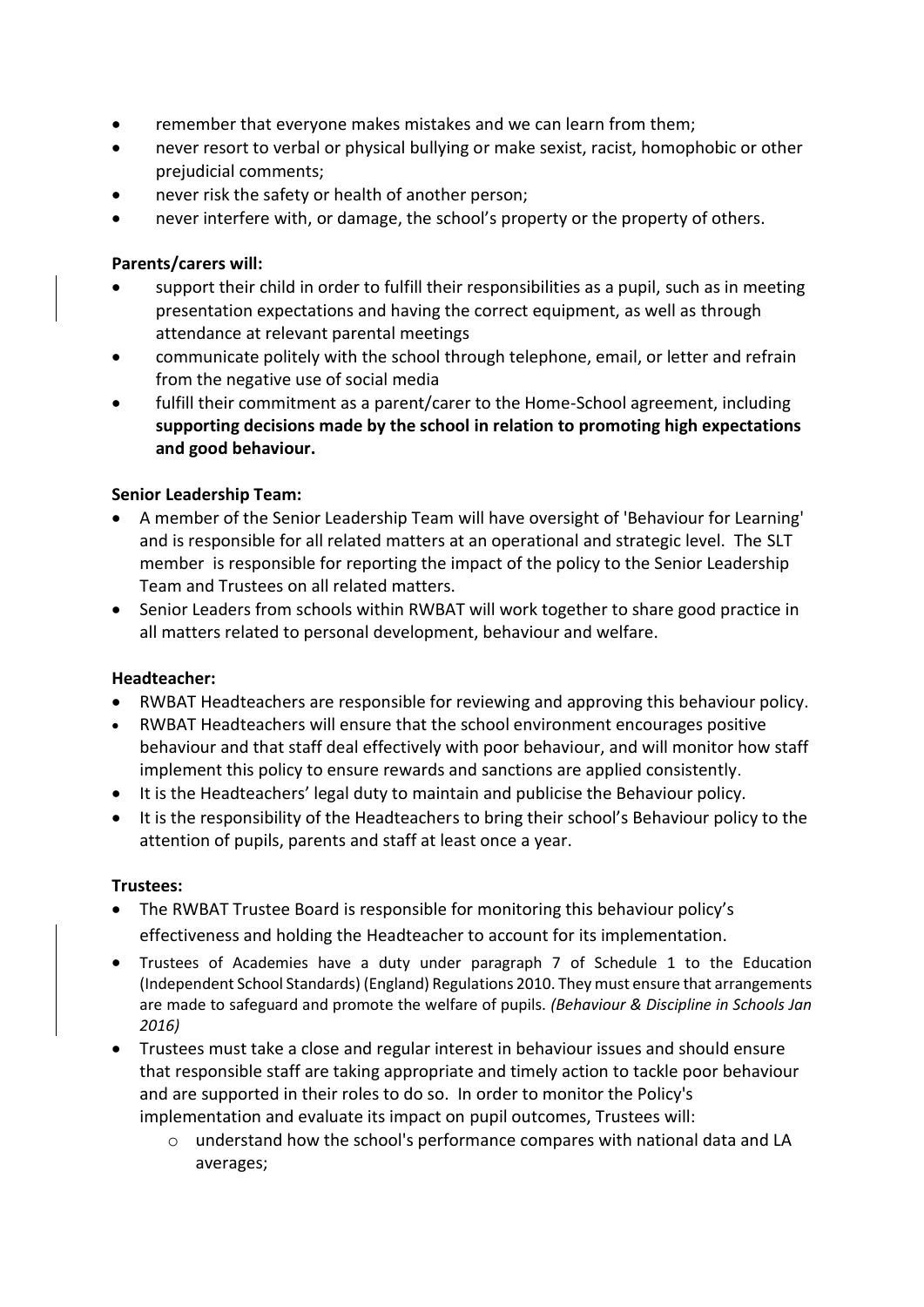- remember that everyone makes mistakes and we can learn from them;
- never resort to verbal or physical bullying or make sexist, racist, homophobic or other prejudicial comments;
- never risk the safety or health of another person;
- never interfere with, or damage, the school's property or the property of others.

## **Parents/carers will:**

- support their child in order to fulfill their responsibilities as a pupil, such as in meeting presentation expectations and having the correct equipment, as well as through attendance at relevant parental meetings
- communicate politely with the school through telephone, email, or letter and refrain from the negative use of social media
- fulfill their commitment as a parent/carer to the Home-School agreement, including **supporting decisions made by the school in relation to promoting high expectations and good behaviour.**

#### **Senior Leadership Team:**

- A member of the Senior Leadership Team will have oversight of 'Behaviour for Learning' and is responsible for all related matters at an operational and strategic level. The SLT member is responsible for reporting the impact of the policy to the Senior Leadership Team and Trustees on all related matters.
- Senior Leaders from schools within RWBAT will work together to share good practice in all matters related to personal development, behaviour and welfare.

## **Headteacher:**

- RWBAT Headteachers are responsible for reviewing and approving this behaviour policy.
- RWBAT Headteachers will ensure that the school environment encourages positive behaviour and that staff deal effectively with poor behaviour, and will monitor how staff implement this policy to ensure rewards and sanctions are applied consistently.
- It is the Headteachers' legal duty to maintain and publicise the Behaviour policy.
- It is the responsibility of the Headteachers to bring their school's Behaviour policy to the attention of pupils, parents and staff at least once a year.

#### **Trustees:**

- The RWBAT Trustee Board is responsible for monitoring this behaviour policy's effectiveness and holding the Headteacher to account for its implementation.
- Trustees of Academies have a duty under paragraph 7 of Schedule 1 to the Education (Independent School Standards) (England) Regulations 2010. They must ensure that arrangements are made to safeguard and promote the welfare of pupils. *(Behaviour & Discipline in Schools Jan 2016)*
- Trustees must take a close and regular interest in behaviour issues and should ensure that responsible staff are taking appropriate and timely action to tackle poor behaviour and are supported in their roles to do so. In order to monitor the Policy's implementation and evaluate its impact on pupil outcomes, Trustees will:
	- o understand how the school's performance compares with national data and LA averages;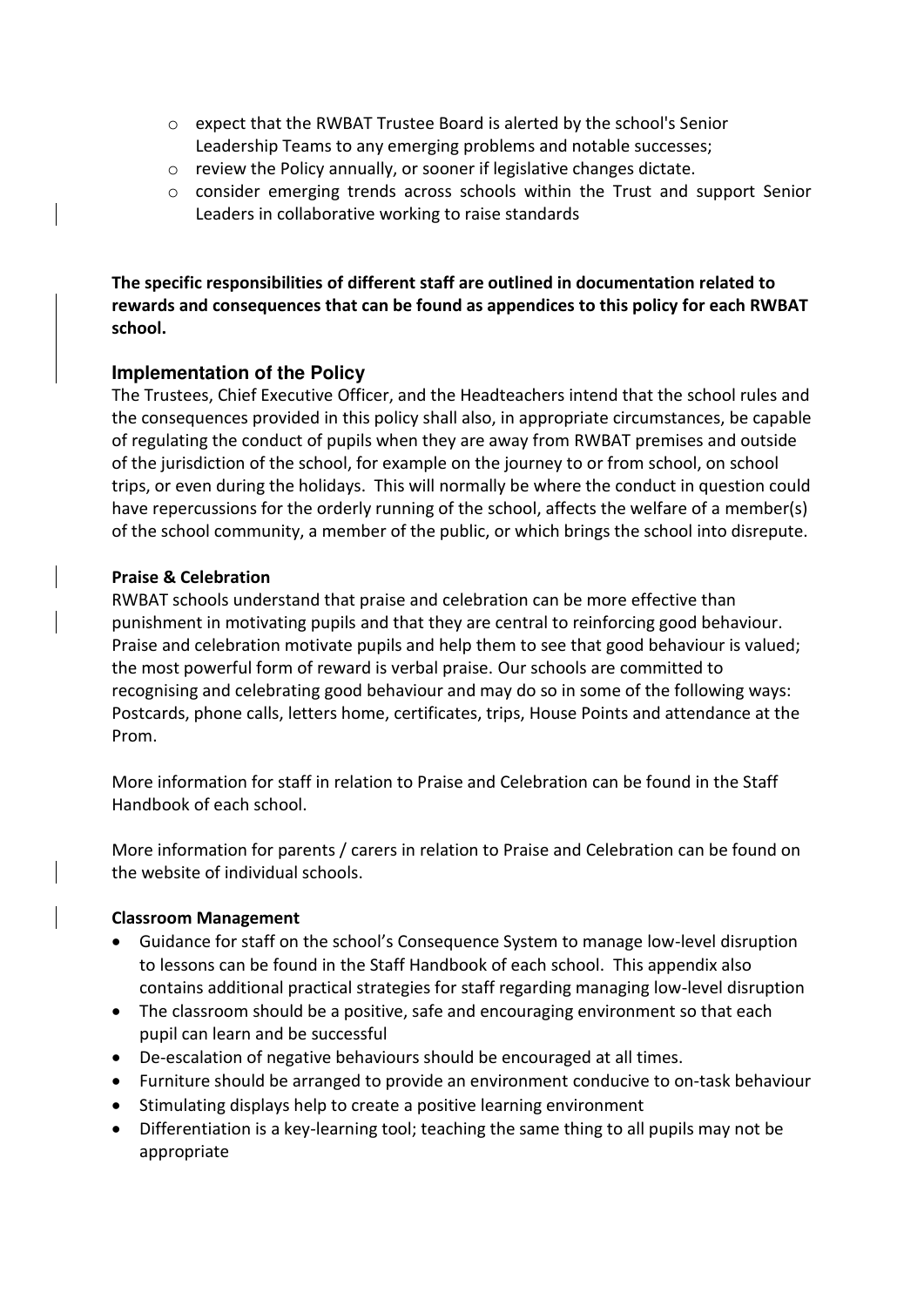- o expect that the RWBAT Trustee Board is alerted by the school's Senior Leadership Teams to any emerging problems and notable successes;
- o review the Policy annually, or sooner if legislative changes dictate.
- o consider emerging trends across schools within the Trust and support Senior Leaders in collaborative working to raise standards

**The specific responsibilities of different staff are outlined in documentation related to rewards and consequences that can be found as appendices to this policy for each RWBAT school.** 

#### <span id="page-5-0"></span>**Implementation of the Policy**

The Trustees, Chief Executive Officer, and the Headteachers intend that the school rules and the consequences provided in this policy shall also, in appropriate circumstances, be capable of regulating the conduct of pupils when they are away from RWBAT premises and outside of the jurisdiction of the school, for example on the journey to or from school, on school trips, or even during the holidays. This will normally be where the conduct in question could have repercussions for the orderly running of the school, affects the welfare of a member(s) of the school community, a member of the public, or which brings the school into disrepute.

#### **Praise & Celebration**

RWBAT schools understand that praise and celebration can be more effective than punishment in motivating pupils and that they are central to reinforcing good behaviour. Praise and celebration motivate pupils and help them to see that good behaviour is valued; the most powerful form of reward is verbal praise. Our schools are committed to recognising and celebrating good behaviour and may do so in some of the following ways: Postcards, phone calls, letters home, certificates, trips, House Points and attendance at the Prom.

More information for staff in relation to Praise and Celebration can be found in the Staff Handbook of each school.

More information for parents / carers in relation to Praise and Celebration can be found on the website of individual schools.

#### **Classroom Management**

- Guidance for staff on the school's Consequence System to manage low-level disruption to lessons can be found in the Staff Handbook of each school. This appendix also contains additional practical strategies for staff regarding managing low-level disruption
- The classroom should be a positive, safe and encouraging environment so that each pupil can learn and be successful
- De-escalation of negative behaviours should be encouraged at all times.
- Furniture should be arranged to provide an environment conducive to on-task behaviour
- Stimulating displays help to create a positive learning environment
- Differentiation is a key-learning tool; teaching the same thing to all pupils may not be appropriate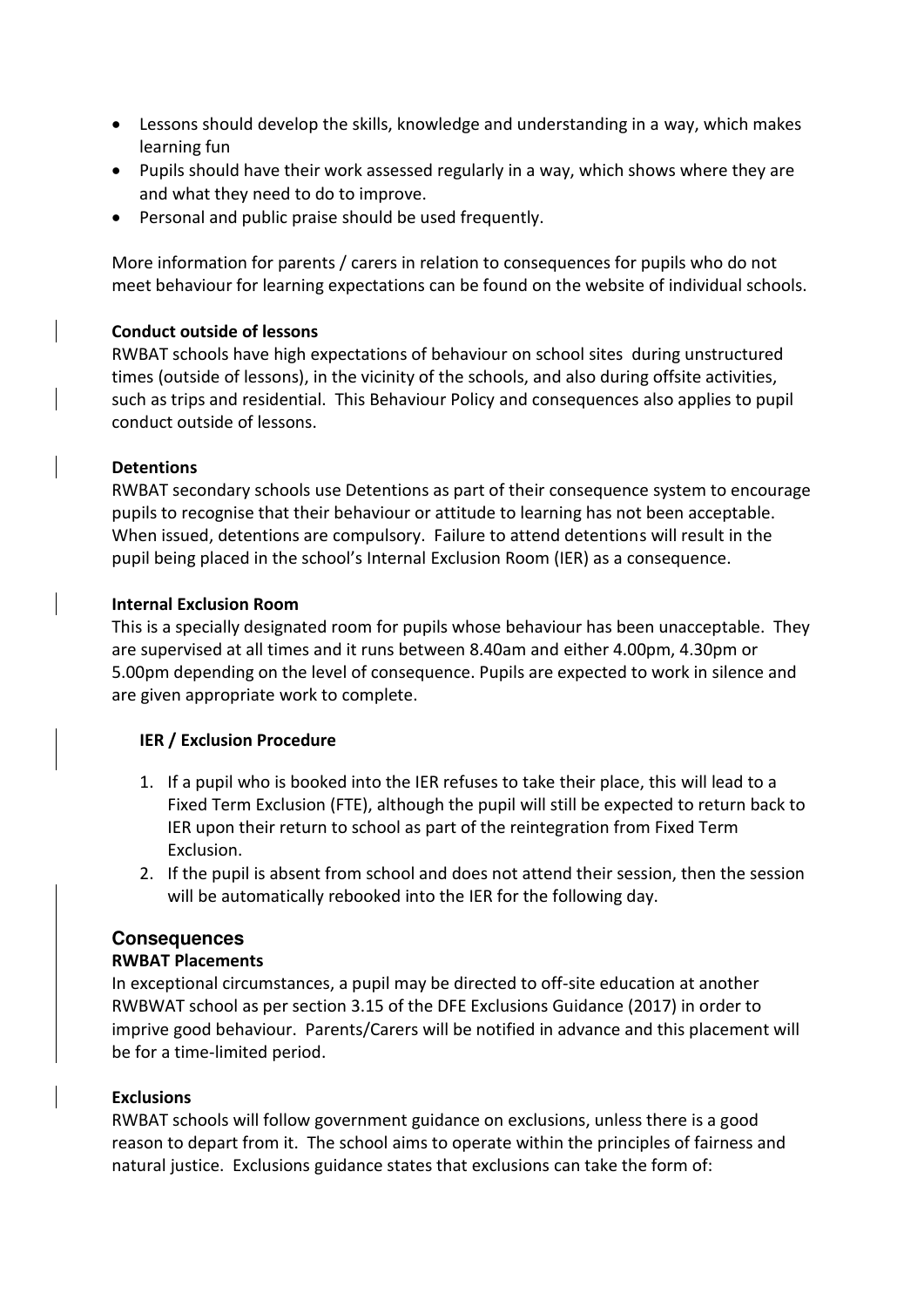- Lessons should develop the skills, knowledge and understanding in a way, which makes learning fun
- Pupils should have their work assessed regularly in a way, which shows where they are and what they need to do to improve.
- Personal and public praise should be used frequently.

More information for parents / carers in relation to consequences for pupils who do not meet behaviour for learning expectations can be found on the website of individual schools.

#### **Conduct outside of lessons**

RWBAT schools have high expectations of behaviour on school sites during unstructured times (outside of lessons), in the vicinity of the schools, and also during offsite activities, such as trips and residential. This Behaviour Policy and consequences also applies to pupil conduct outside of lessons.

#### **Detentions**

RWBAT secondary schools use Detentions as part of their consequence system to encourage pupils to recognise that their behaviour or attitude to learning has not been acceptable. When issued, detentions are compulsory. Failure to attend detentions will result in the pupil being placed in the school's Internal Exclusion Room (IER) as a consequence.

#### **Internal Exclusion Room**

This is a specially designated room for pupils whose behaviour has been unacceptable. They are supervised at all times and it runs between 8.40am and either 4.00pm, 4.30pm or 5.00pm depending on the level of consequence. Pupils are expected to work in silence and are given appropriate work to complete.

#### **IER / Exclusion Procedure**

- 1. If a pupil who is booked into the IER refuses to take their place, this will lead to a Fixed Term Exclusion (FTE), although the pupil will still be expected to return back to IER upon their return to school as part of the reintegration from Fixed Term Exclusion.
- 2. If the pupil is absent from school and does not attend their session, then the session will be automatically rebooked into the IER for the following day.

## <span id="page-6-0"></span>**Consequences**

## **RWBAT Placements**

In exceptional circumstances, a pupil may be directed to off-site education at another RWBWAT school as per section 3.15 of the DFE Exclusions Guidance (2017) in order to imprive good behaviour. Parents/Carers will be notified in advance and this placement will be for a time-limited period.

## <span id="page-6-1"></span>**Exclusions**

RWBAT schools will follow government guidance on exclusions, unless there is a good reason to depart from it. The school aims to operate within the principles of fairness and natural justice. Exclusions guidance states that exclusions can take the form of: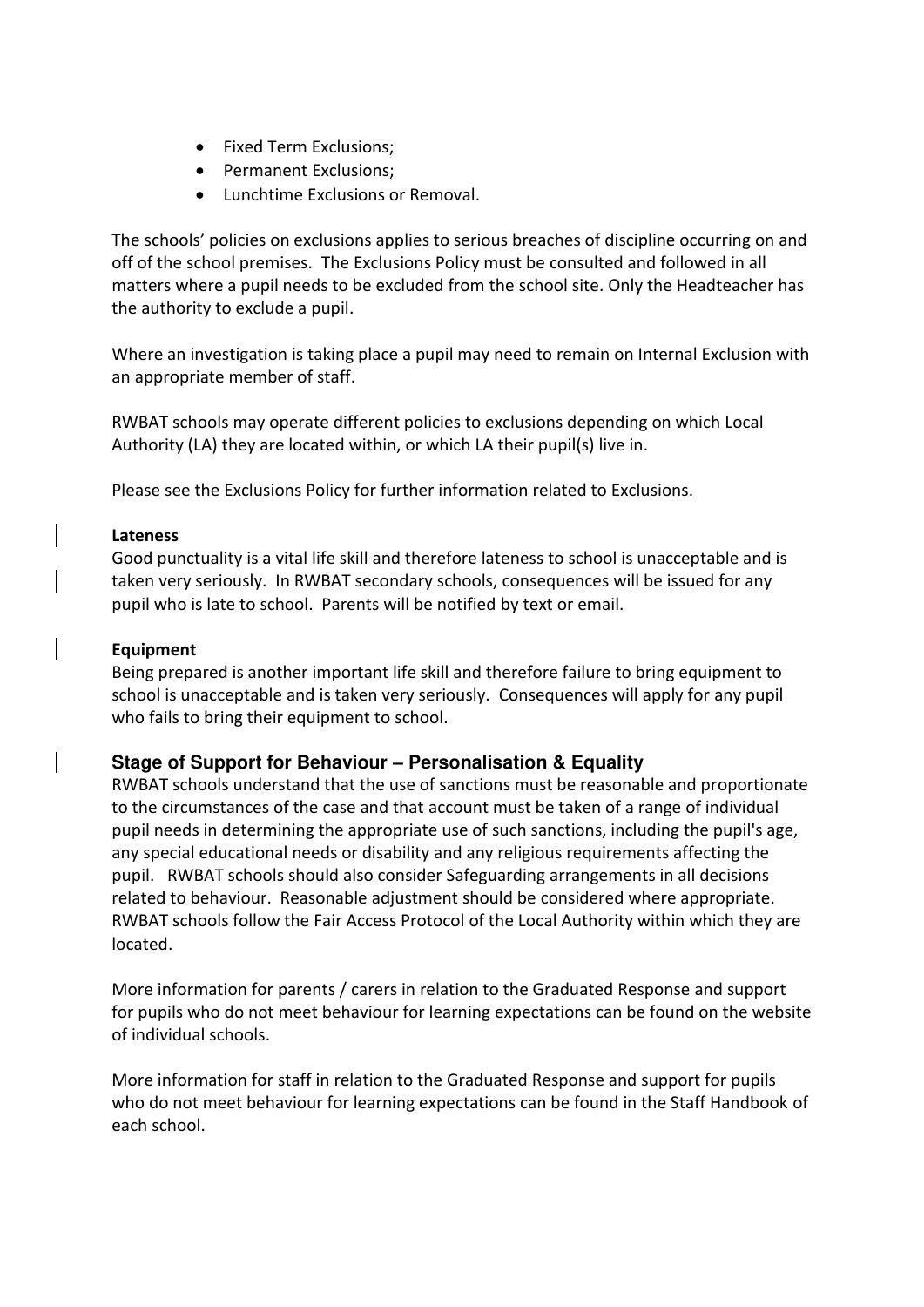- Fixed Term Exclusions;
- Permanent Exclusions;
- Lunchtime Exclusions or Removal.

The schools' policies on exclusions applies to serious breaches of discipline occurring on and off of the school premises. The Exclusions Policy must be consulted and followed in all matters where a pupil needs to be excluded from the school site. Only the Headteacher has the authority to exclude a pupil.

Where an investigation is taking place a pupil may need to remain on Internal Exclusion with an appropriate member of staff.

RWBAT schools may operate different policies to exclusions depending on which Local Authority (LA) they are located within, or which LA their pupil(s) live in.

Please see the Exclusions Policy for further information related to Exclusions.

#### **Lateness**

Good punctuality is a vital life skill and therefore lateness to school is unacceptable and is taken very seriously. In RWBAT secondary schools, consequences will be issued for any pupil who is late to school. Parents will be notified by text or email.

#### **Equipment**

Being prepared is another important life skill and therefore failure to bring equipment to school is unacceptable and is taken very seriously. Consequences will apply for any pupil who fails to bring their equipment to school.

## <span id="page-7-0"></span>**Stage of Support for Behaviour – Personalisation & Equality**

RWBAT schools understand that the use of sanctions must be reasonable and proportionate to the circumstances of the case and that account must be taken of a range of individual pupil needs in determining the appropriate use of such sanctions, including the pupil's age, any special educational needs or disability and any religious requirements affecting the pupil. RWBAT schools should also consider Safeguarding arrangements in all decisions related to behaviour. Reasonable adjustment should be considered where appropriate. RWBAT schools follow the Fair Access Protocol of the Local Authority within which they are located.

More information for parents / carers in relation to the Graduated Response and support for pupils who do not meet behaviour for learning expectations can be found on the website of individual schools.

More information for staff in relation to the Graduated Response and support for pupils who do not meet behaviour for learning expectations can be found in the Staff Handbook of each school.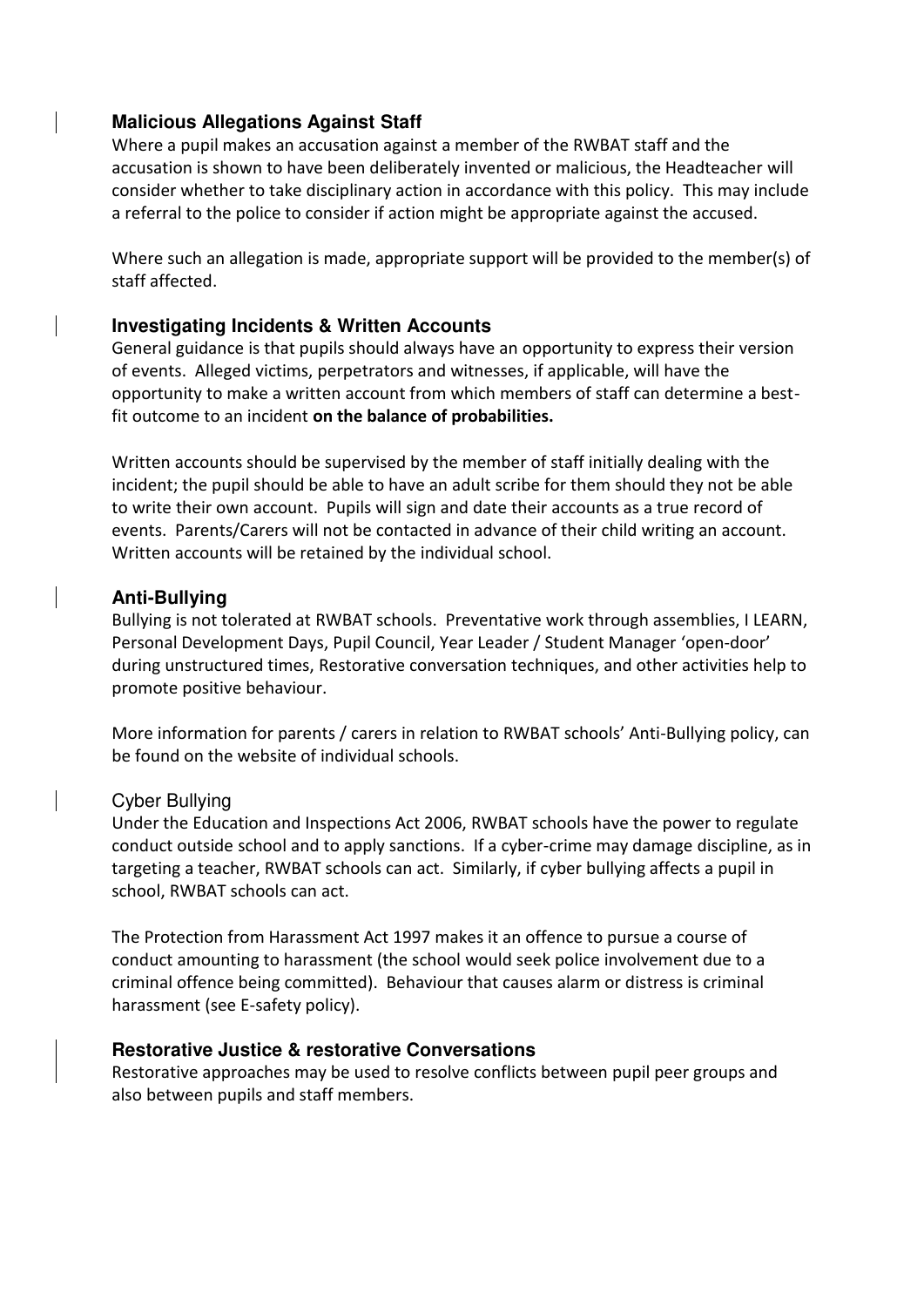## <span id="page-8-0"></span>**Malicious Allegations Against Staff**

Where a pupil makes an accusation against a member of the RWBAT staff and the accusation is shown to have been deliberately invented or malicious, the Headteacher will consider whether to take disciplinary action in accordance with this policy. This may include a referral to the police to consider if action might be appropriate against the accused.

Where such an allegation is made, appropriate support will be provided to the member(s) of staff affected.

## <span id="page-8-1"></span>**Investigating Incidents & Written Accounts**

General guidance is that pupils should always have an opportunity to express their version of events. Alleged victims, perpetrators and witnesses, if applicable, will have the opportunity to make a written account from which members of staff can determine a bestfit outcome to an incident **on the balance of probabilities.**

Written accounts should be supervised by the member of staff initially dealing with the incident; the pupil should be able to have an adult scribe for them should they not be able to write their own account. Pupils will sign and date their accounts as a true record of events. Parents/Carers will not be contacted in advance of their child writing an account. Written accounts will be retained by the individual school.

## <span id="page-8-2"></span>**Anti-Bullying**

Bullying is not tolerated at RWBAT schools. Preventative work through assemblies, I LEARN, Personal Development Days, Pupil Council, Year Leader / Student Manager 'open-door' during unstructured times, Restorative conversation techniques, and other activities help to promote positive behaviour.

More information for parents / carers in relation to RWBAT schools' Anti-Bullying policy, can be found on the website of individual schools.

#### Cyber Bullying

Under the Education and Inspections Act 2006, RWBAT schools have the power to regulate conduct outside school and to apply sanctions. If a cyber-crime may damage discipline, as in targeting a teacher, RWBAT schools can act. Similarly, if cyber bullying affects a pupil in school, RWBAT schools can act.

The Protection from Harassment Act 1997 makes it an offence to pursue a course of conduct amounting to harassment (the school would seek police involvement due to a criminal offence being committed). Behaviour that causes alarm or distress is criminal harassment (see E-safety policy).

#### <span id="page-8-3"></span>**Restorative Justice & restorative Conversations**

Restorative approaches may be used to resolve conflicts between pupil peer groups and also between pupils and staff members.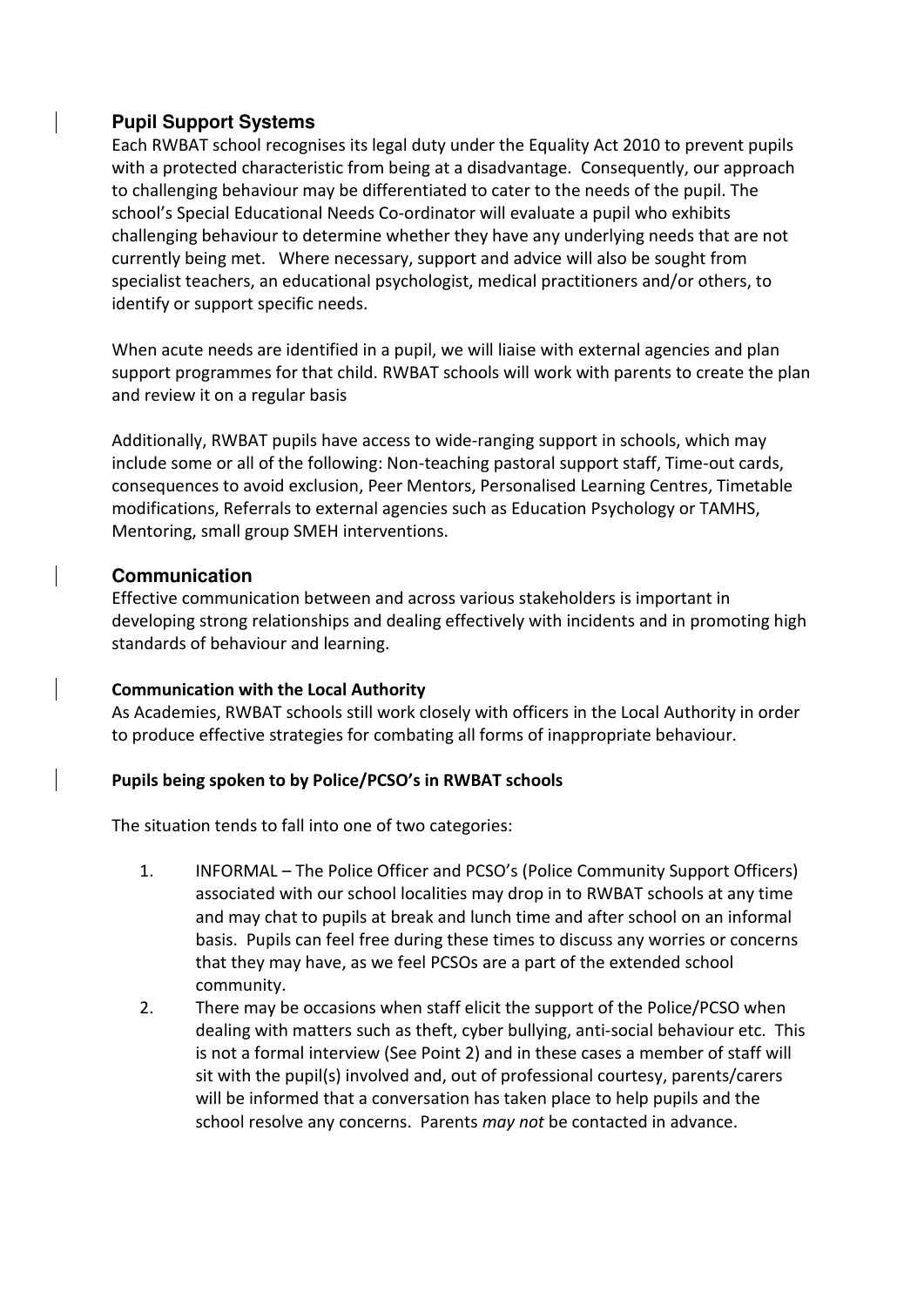# <span id="page-9-0"></span>**Pupil Support Systems**

Each RWBAT school recognises its legal duty under the Equality Act 2010 to prevent pupils with a protected characteristic from being at a disadvantage. Consequently, our approach to challenging behaviour may be differentiated to cater to the needs of the pupil. The school's Special Educational Needs Co-ordinator will evaluate a pupil who exhibits challenging behaviour to determine whether they have any underlying needs that are not currently being met. Where necessary, support and advice will also be sought from specialist teachers, an educational psychologist, medical practitioners and/or others, to identify or support specific needs.

When acute needs are identified in a pupil, we will liaise with external agencies and plan support programmes for that child. RWBAT schools will work with parents to create the plan and review it on a regular basis

Additionally, RWBAT pupils have access to wide-ranging support in schools, which may include some or all of the following: Non-teaching pastoral support staff, Time-out cards, consequences to avoid exclusion, Peer Mentors, Personalised Learning Centres, Timetable modifications, Referrals to external agencies such as Education Psychology or TAMHS, Mentoring, small group SMEH interventions.

# <span id="page-9-1"></span>**Communication**

Effective communication between and across various stakeholders is important in developing strong relationships and dealing effectively with incidents and in promoting high standards of behaviour and learning.

## **Communication with the Local Authority**

As Academies, RWBAT schools still work closely with officers in the Local Authority in order to produce effective strategies for combating all forms of inappropriate behaviour.

# **Pupils being spoken to by Police/PCSO's in RWBAT schools**

The situation tends to fall into one of two categories:

- 1. INFORMAL The Police Officer and PCSO's (Police Community Support Officers) associated with our school localities may drop in to RWBAT schools at any time and may chat to pupils at break and lunch time and after school on an informal basis. Pupils can feel free during these times to discuss any worries or concerns that they may have, as we feel PCSOs are a part of the extended school community.
- 2. There may be occasions when staff elicit the support of the Police/PCSO when dealing with matters such as theft, cyber bullying, anti-social behaviour etc. This is not a formal interview (See Point 2) and in these cases a member of staff will sit with the pupil(s) involved and, out of professional courtesy, parents/carers will be informed that a conversation has taken place to help pupils and the school resolve any concerns. Parents *may not* be contacted in advance.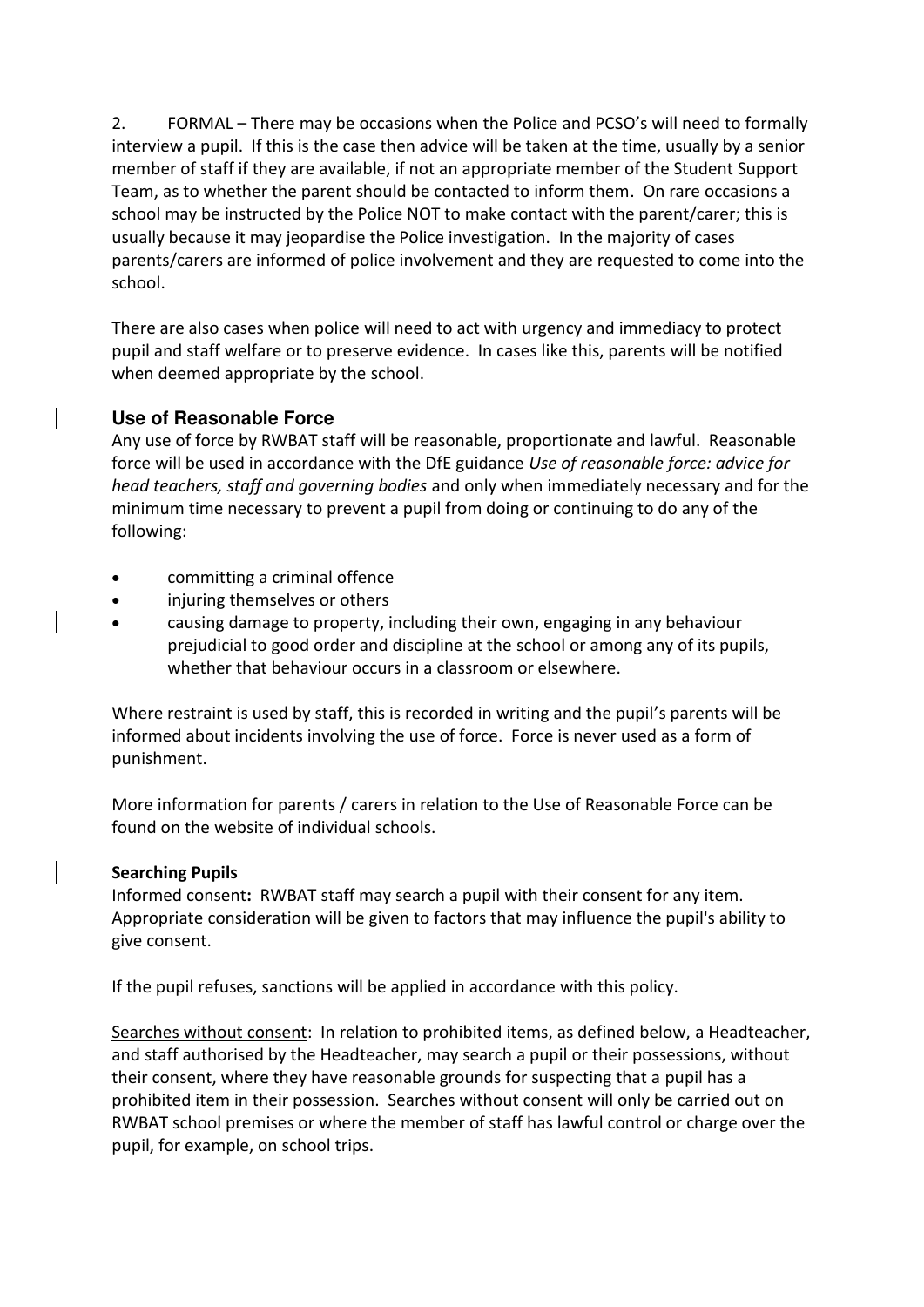2. FORMAL – There may be occasions when the Police and PCSO's will need to formally interview a pupil. If this is the case then advice will be taken at the time, usually by a senior member of staff if they are available, if not an appropriate member of the Student Support Team, as to whether the parent should be contacted to inform them. On rare occasions a school may be instructed by the Police NOT to make contact with the parent/carer; this is usually because it may jeopardise the Police investigation. In the majority of cases parents/carers are informed of police involvement and they are requested to come into the school.

There are also cases when police will need to act with urgency and immediacy to protect pupil and staff welfare or to preserve evidence. In cases like this, parents will be notified when deemed appropriate by the school.

# <span id="page-10-0"></span>**Use of Reasonable Force**

Any use of force by RWBAT staff will be reasonable, proportionate and lawful. Reasonable force will be used in accordance with the DfE guidance *Use of reasonable force: advice for head teachers, staff and governing bodies* and only when immediately necessary and for the minimum time necessary to prevent a pupil from doing or continuing to do any of the following:

- committing a criminal offence
- injuring themselves or others
- causing damage to property, including their own, engaging in any behaviour prejudicial to good order and discipline at the school or among any of its pupils, whether that behaviour occurs in a classroom or elsewhere.

Where restraint is used by staff, this is recorded in writing and the pupil's parents will be informed about incidents involving the use of force. Force is never used as a form of punishment.

More information for parents / carers in relation to the Use of Reasonable Force can be found on the website of individual schools.

# <span id="page-10-1"></span>**Searching Pupils**

Informed consent**:** RWBAT staff may search a pupil with their consent for any item. Appropriate consideration will be given to factors that may influence the pupil's ability to give consent.

If the pupil refuses, sanctions will be applied in accordance with this policy.

Searches without consent: In relation to prohibited items, as defined below, a Headteacher, and staff authorised by the Headteacher, may search a pupil or their possessions, without their consent, where they have reasonable grounds for suspecting that a pupil has a prohibited item in their possession. Searches without consent will only be carried out on RWBAT school premises or where the member of staff has lawful control or charge over the pupil, for example, on school trips.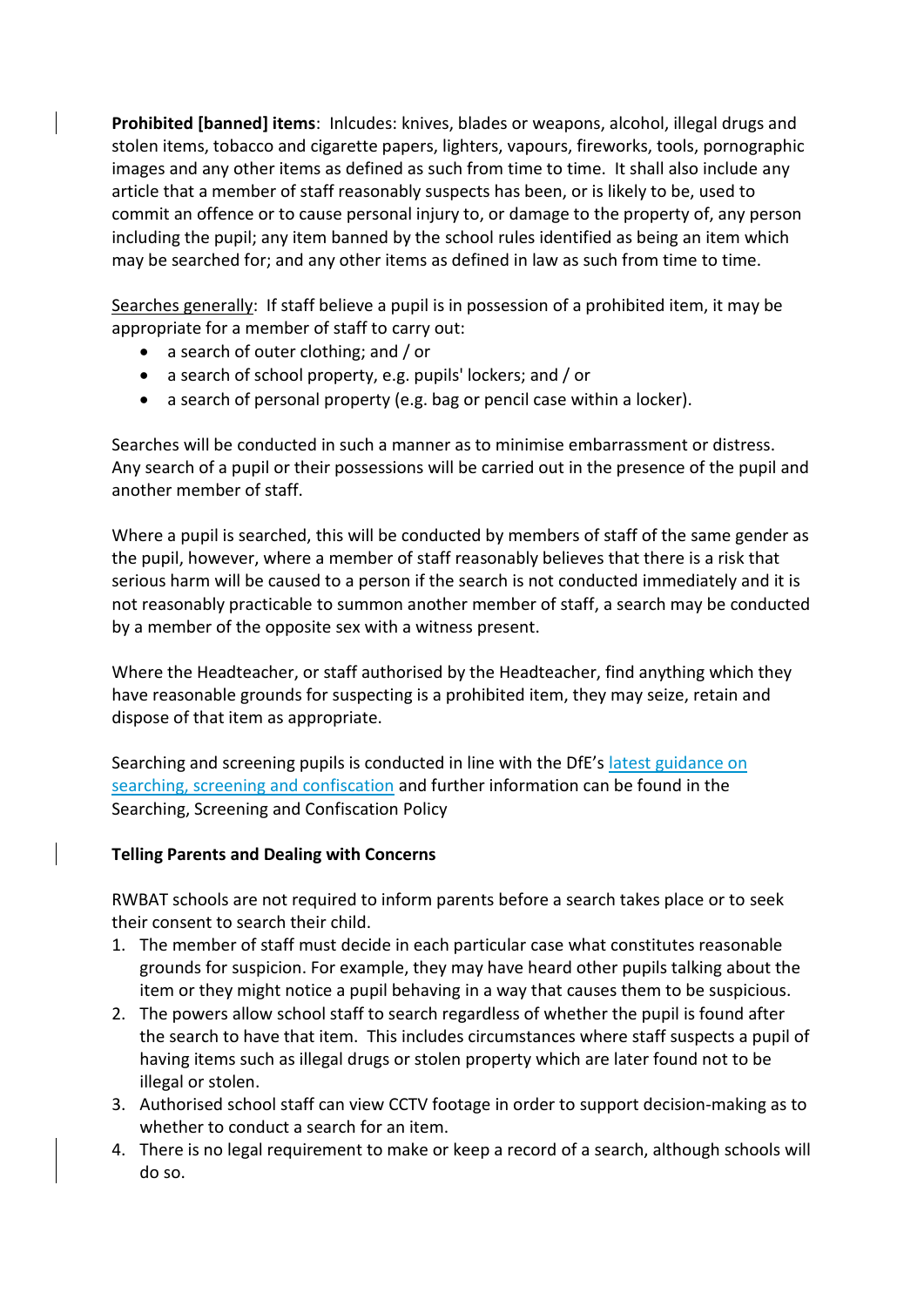**Prohibited [banned] items**: Inlcudes: knives, blades or weapons, alcohol, illegal drugs and stolen items, tobacco and cigarette papers, lighters, vapours, fireworks, tools, pornographic images and any other items as defined as such from time to time. It shall also include any article that a member of staff reasonably suspects has been, or is likely to be, used to commit an offence or to cause personal injury to, or damage to the property of, any person including the pupil; any item banned by the school rules identified as being an item which may be searched for; and any other items as defined in law as such from time to time.

Searches generally: If staff believe a pupil is in possession of a prohibited item, it may be appropriate for a member of staff to carry out:

- a search of outer clothing; and / or
- a search of school property, e.g. pupils' lockers; and / or
- a search of personal property (e.g. bag or pencil case within a locker).

Searches will be conducted in such a manner as to minimise embarrassment or distress. Any search of a pupil or their possessions will be carried out in the presence of the pupil and another member of staff.

Where a pupil is searched, this will be conducted by members of staff of the same gender as the pupil, however, where a member of staff reasonably believes that there is a risk that serious harm will be caused to a person if the search is not conducted immediately and it is not reasonably practicable to summon another member of staff, a search may be conducted by a member of the opposite sex with a witness present.

Where the Headteacher, or staff authorised by the Headteacher, find anything which they have reasonable grounds for suspecting is a prohibited item, they may seize, retain and dispose of that item as appropriate.

Searching and screening pupils is conducted in line with the DfE's [latest guidance on](https://www.gov.uk/government/publications/searching-screening-and-confiscation)  [searching, screening and confiscation](https://www.gov.uk/government/publications/searching-screening-and-confiscation) and further information can be found in the Searching, Screening and Confiscation Policy

## **Telling Parents and Dealing with Concerns**

RWBAT schools are not required to inform parents before a search takes place or to seek their consent to search their child.

- 1. The member of staff must decide in each particular case what constitutes reasonable grounds for suspicion. For example, they may have heard other pupils talking about the item or they might notice a pupil behaving in a way that causes them to be suspicious.
- 2. The powers allow school staff to search regardless of whether the pupil is found after the search to have that item. This includes circumstances where staff suspects a pupil of having items such as illegal drugs or stolen property which are later found not to be illegal or stolen.
- 3. Authorised school staff can view CCTV footage in order to support decision-making as to whether to conduct a search for an item.
- 4. There is no legal requirement to make or keep a record of a search, although schools will do so.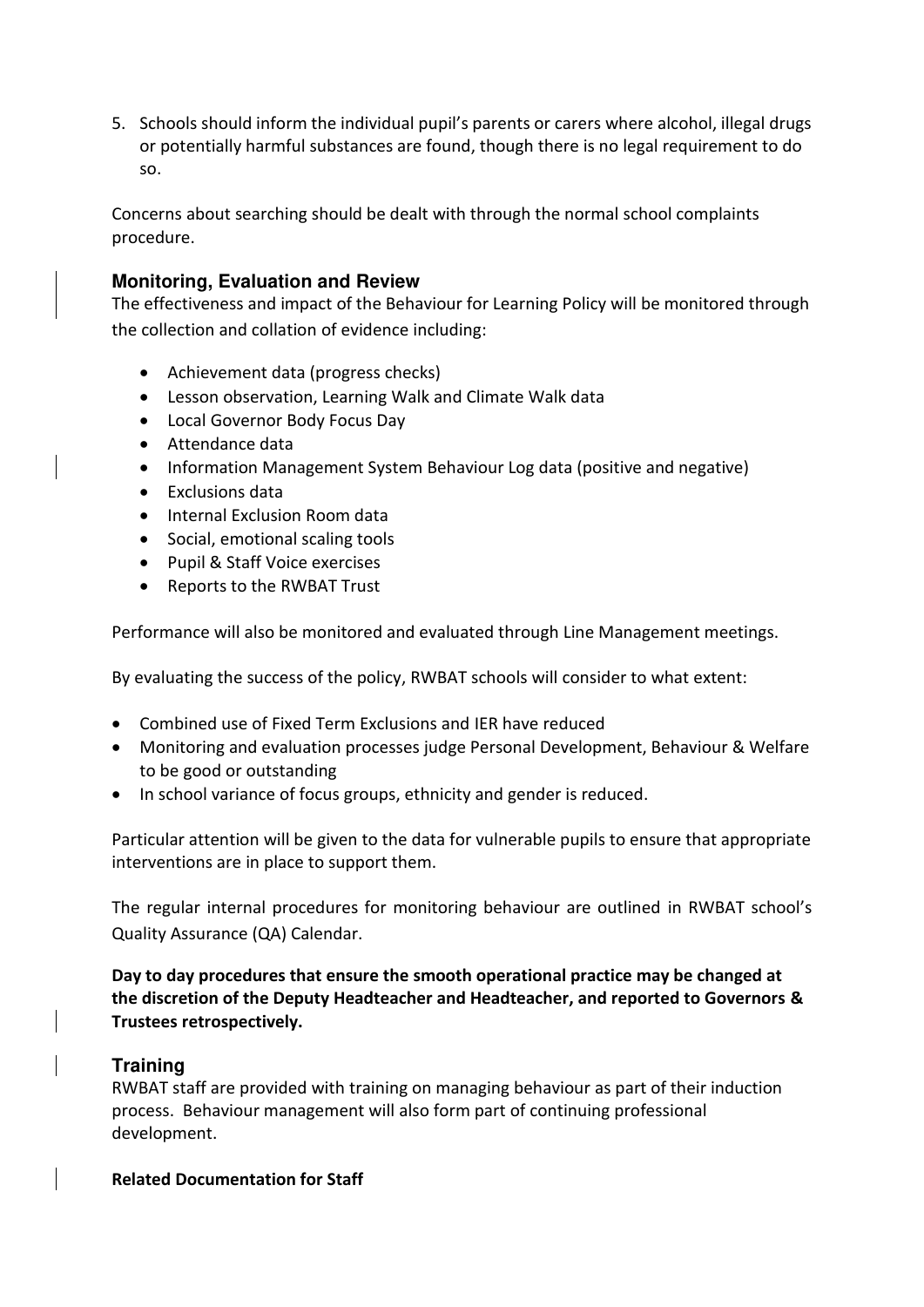5. Schools should inform the individual pupil's parents or carers where alcohol, illegal drugs or potentially harmful substances are found, though there is no legal requirement to do so.

Concerns about searching should be dealt with through the normal school complaints procedure.

# **Monitoring, Evaluation and Review**

The effectiveness and impact of the Behaviour for Learning Policy will be monitored through the collection and collation of evidence including:

- Achievement data (progress checks)
- Lesson observation, Learning Walk and Climate Walk data
- Local Governor Body Focus Day
- Attendance data
- Information Management System Behaviour Log data (positive and negative)
- Exclusions data
- Internal Exclusion Room data
- Social, emotional scaling tools
- Pupil & Staff Voice exercises
- Reports to the RWBAT Trust

Performance will also be monitored and evaluated through Line Management meetings.

By evaluating the success of the policy, RWBAT schools will consider to what extent:

- Combined use of Fixed Term Exclusions and IER have reduced
- Monitoring and evaluation processes judge Personal Development, Behaviour & Welfare to be good or outstanding
- In school variance of focus groups, ethnicity and gender is reduced.

Particular attention will be given to the data for vulnerable pupils to ensure that appropriate interventions are in place to support them.

The regular internal procedures for monitoring behaviour are outlined in RWBAT school's Quality Assurance (QA) Calendar.

**Day to day procedures that ensure the smooth operational practice may be changed at the discretion of the Deputy Headteacher and Headteacher, and reported to Governors & Trustees retrospectively.** 

## <span id="page-12-0"></span>**Training**

RWBAT staff are provided with training on managing behaviour as part of their induction process. Behaviour management will also form part of continuing professional development.

## **Related Documentation for Staff**